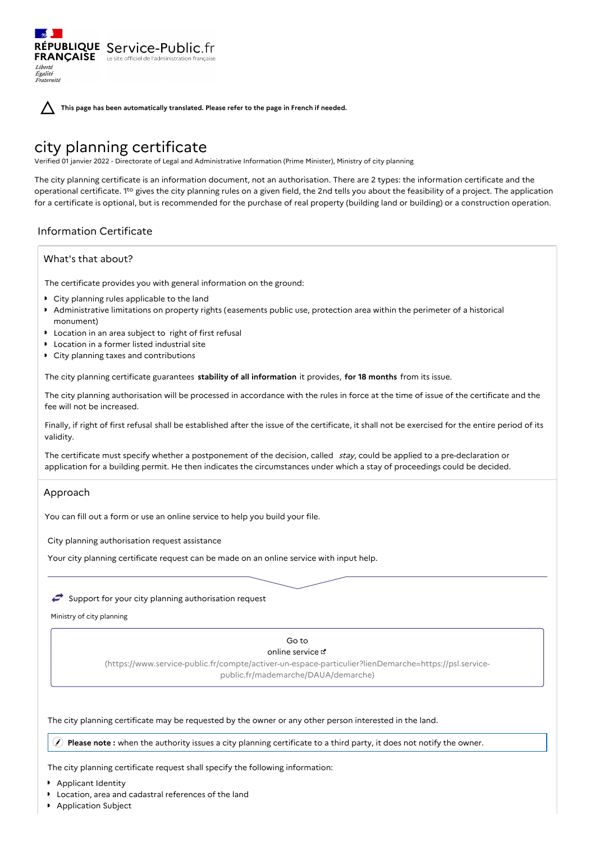**This page has been automatically translated. Please refer to the page in French if needed.**

# city planning certificate

RÉPUBLIQUE Service-Public.fr **FRANÇAISE** Le site officiel de l'administration

Verified 01 janvier 2022 - Directorate of Legal and Administrative Information (Prime Minister), Ministry of city planning

The city planning certificate is an information document, not an authorisation. There are 2 types: the information certificate and the operational certificate. 1<sup>to</sup> gives the city planning rules on a given field, the 2nd tells you about the feasibility of a project. The application for a certificate is optional, but is recommended for the purchase of real property (building land or building) or a construction operation.

# Information Certificate

# What's that about?

Liberté Égalité<br>Fraternité

The certificate provides you with general information on the ground:

- City planning rules applicable to the land
- Administrative limitations on property rights (easements public use, protection area within the perimeter of a historical monument)
- **D** Location in an area subject to right of first refusal
- Location in a former listed industrial site
- City planning taxes and contributions

The city planning certificate guarantees **stability of all information** it provides, **for 18 months** from its issue.

The city planning authorisation will be processed in accordance with the rules in force at the time of issue of the certificate and the fee will not be increased.

Finally, if right of first refusal shall be established after the issue of the certificate, it shall not be exercised for the entire period of its validity.

The certificate must specify whether a postponement of the decision, called  $stay$ , could be applied to a pre-declaration or application for a building permit. He then indicates the circumstances under which a stay of proceedings could be decided.

# Approach

You can fill out a form or use an online service to help you build your file.

City planning authorisation request assistance

Your city planning certificate request can be made on an online service with input help.

# $\leftrightarrow$  Support for your city planning authorisation request

Ministry of city planning

#### Go to online service &

[\(https://www.service-public.fr/compte/activer-un-espace-particulier?lienDemarche=https://psl.service](https://www.service-public.fr/compte/activer-un-espace-particulier?lienDemarche=https://psl.service-public.fr/mademarche/DAUA/demarche)public.fr/mademarche/DAUA/demarche)

The city planning certificate may be requested by the owner or any other person interested in the land.

**Please note :** when the authority issues a city planning certificate to a third party, it does not notify the owner.

The city planning certificate request shall specify the following information:

- **Applicant Identity**
- Location, area and cadastral references of the land
- Application Subject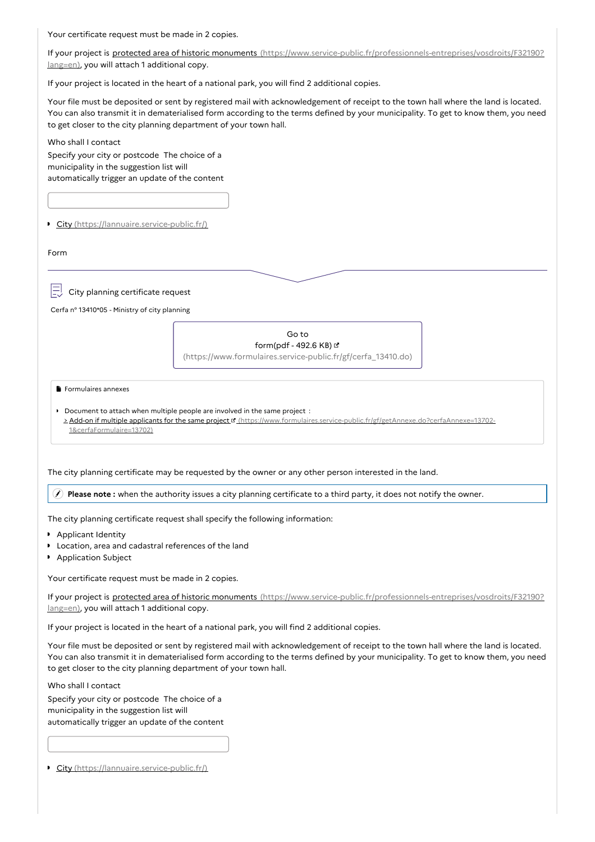Your certificate request must be made in 2 copies.

If your project is protected area of historic monuments [\(https://www.service-public.fr/professionnels-entreprises/vosdroits/F32190?](https://www.service-public.fr/professionnels-entreprises/vosdroits/F32190?lang=en) lang=en), you will attach 1 additional copy.

If your project is located in the heart of a national park, you will find 2 additional copies.

Your file must be deposited or sent by registered mail with acknowledgement of receipt to the town hall where the land is located. You can also transmit it in dematerialised form according to the terms defined by your municipality. To get to know them, you need to get closer to the city planning department of your town hall.

Who shall I contact

Specify your city or postcode The choice of a municipality in the suggestion list will automatically trigger an update of the content

City [\(https://lannuaire.service-public.fr/\)](https://lannuaire.service-public.fr/)

Form

City planning certificate request

Cerfa n° 13410\*05 - Ministry of city planning

| Go to                                                         |
|---------------------------------------------------------------|
| form(pdf - 492.6 KB) $\leq$                                   |
| (https://www.formulaires.service-public.fr/gf/cerfa_13410.do) |

Formulaires annexes

Document to attach when multiple people are involved in the same project : > Add-on if multiple applicants for the same project ¤ [\(https://www.formulaires.service-public.fr/gf/getAnnexe.do?cerfaAnnexe=13702-](https://www.formulaires.service-public.fr/gf/getAnnexe.do?cerfaAnnexe=13702-1&cerfaFormulaire=13702) 1&cerfaFormulaire=13702)

The city planning certificate may be requested by the owner or any other person interested in the land.

**Please note :** when the authority issues a city planning certificate to a third party, it does not notify the owner.

The city planning certificate request shall specify the following information:

- **Applicant Identity**
- Location, area and cadastral references of the land
- **Application Subject**

Your certificate request must be made in 2 copies.

If your project is protected area of historic monuments [\(https://www.service-public.fr/professionnels-entreprises/vosdroits/F32190?](https://www.service-public.fr/professionnels-entreprises/vosdroits/F32190?lang=en) lang=en), you will attach 1 additional copy.

If your project is located in the heart of a national park, you will find 2 additional copies.

Your file must be deposited or sent by registered mail with acknowledgement of receipt to the town hall where the land is located. You can also transmit it in dematerialised form according to the terms defined by your municipality. To get to know them, you need to get closer to the city planning department of your town hall.

Who shall I contact Specify your city or postcode The choice of a municipality in the suggestion list will automatically trigger an update of the content

City [\(https://lannuaire.service-public.fr/\)](https://lannuaire.service-public.fr/)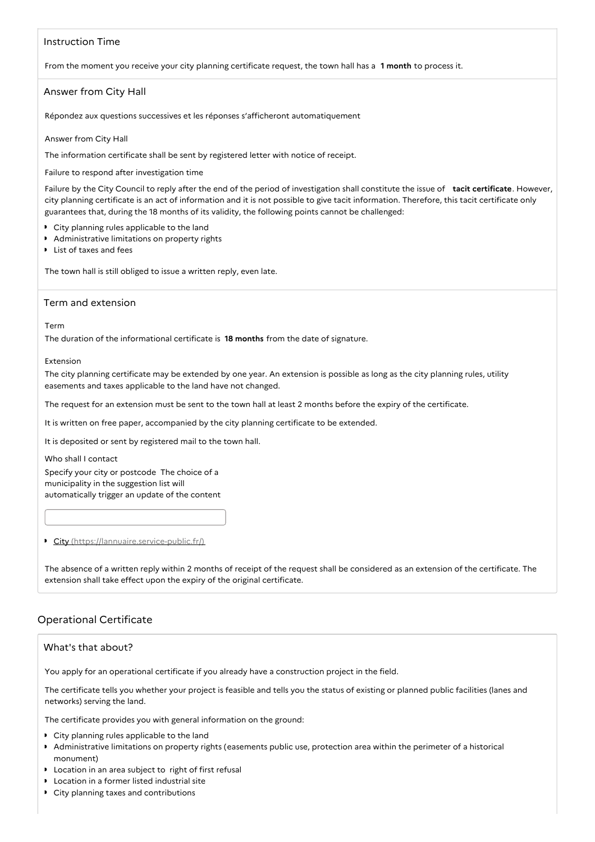## Instruction Time

From the moment you receive your city planning certificate request, the town hall has a **1 month** to process it.

## Answer from City Hall

Répondez aux questions successives et les réponses s'afficheront automatiquement

#### Answer from City Hall

The information certificate shall be sent by registered letter with notice of receipt.

Failure to respond after investigation time

Failure by the City Council to reply after the end of the period of investigation shall constitute the issue of **tacit certificate**. However, city planning certificate is an act of information and it is not possible to give tacit information. Therefore, this tacit certificate only guarantees that, during the 18 months of its validity, the following points cannot be challenged:

- City planning rules applicable to the land
- Administrative limitations on property rights
- List of taxes and fees

The town hall is still obliged to issue a written reply, even late.

#### Term and extension

Term

The duration of the informational certificate is **18 months** from the date of signature.

Extension

The city planning certificate may be extended by one year. An extension is possible as long as the city planning rules, utility easements and taxes applicable to the land have not changed.

The request for an extension must be sent to the town hall at least 2 months before the expiry of the certificate.

It is written on free paper, accompanied by the city planning certificate to be extended.

It is deposited or sent by registered mail to the town hall.

Who shall I contact

Specify your city or postcode The choice of a municipality in the suggestion list will automatically trigger an update of the content

#### City [\(https://lannuaire.service-public.fr/\)](https://lannuaire.service-public.fr/)

The absence of a written reply within 2 months of receipt of the request shall be considered as an extension of the certificate. The extension shall take effect upon the expiry of the original certificate.

# Operational Certificate

## What's that about?

You apply for an operational certificate if you already have a construction project in the field.

The certificate tells you whether your project is feasible and tells you the status of existing or planned public facilities (lanes and networks) serving the land.

The certificate provides you with general information on the ground:

- City planning rules applicable to the land
- Administrative limitations on property rights (easements public use, protection area within the perimeter of a historical monument)
- **DED** Location in an area subject to right of first refusal
- **D** Location in a former listed industrial site
- City planning taxes and contributions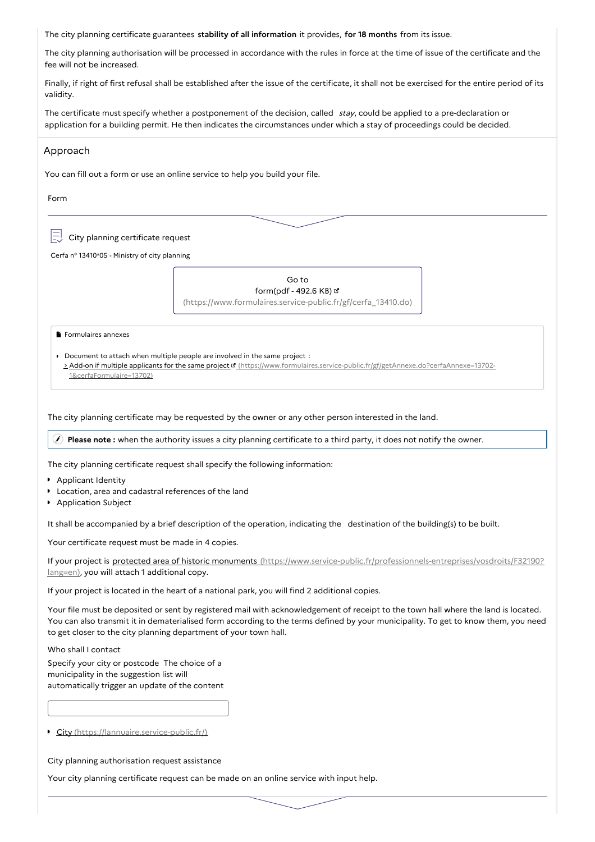The city planning certificate guarantees **stability of all information** it provides, **for 18 months** from its issue.

The city planning authorisation will be processed in accordance with the rules in force at the time of issue of the certificate and the fee will not be increased.

Finally, if right of first refusal shall be established after the issue of the certificate, it shall not be exercised for the entire period of its validity.

The certificate must specify whether a postponement of the decision, called stay, could be applied to a pre-declaration or application for a building permit. He then indicates the circumstances under which a stay of proceedings could be decided.

# You can fill out a form or use an online service to help you build your file. Form Approach  $\left| \exists \right|$  City planning certificate request Cerfa n° 13410\*05 - Ministry of city planning Go to form(pdf - 492.6 KB) [\(https://www.formulaires.service-public.fr/gf/cerfa\\_13410.do\)](https://www.formulaires.service-public.fr/gf/cerfa_13410.do) Formulaires annexes Document to attach when multiple people are involved in the same project : > Add-on if multiple applicants for the same project ¤ [\(https://www.formulaires.service-public.fr/gf/getAnnexe.do?cerfaAnnexe=13702-](https://www.formulaires.service-public.fr/gf/getAnnexe.do?cerfaAnnexe=13702-1&cerfaFormulaire=13702) 1&cerfaFormulaire=13702)

The city planning certificate may be requested by the owner or any other person interested in the land.

**Please note :** when the authority issues a city planning certificate to a third party, it does not notify the owner.

The city planning certificate request shall specify the following information:

- **Applicant Identity**
- Location, area and cadastral references of the land
- **Application Subject**

It shall be accompanied by a brief description of the operation, indicating the destination of the building(s) to be built.

Your certificate request must be made in 4 copies.

If your project is protected area of historic monuments [\(https://www.service-public.fr/professionnels-entreprises/vosdroits/F32190?](https://www.service-public.fr/professionnels-entreprises/vosdroits/F32190?lang=en) lang=en), you will attach 1 additional copy.

If your project is located in the heart of a national park, you will find 2 additional copies.

Your file must be deposited or sent by registered mail with acknowledgement of receipt to the town hall where the land is located. You can also transmit it in dematerialised form according to the terms defined by your municipality. To get to know them, you need to get closer to the city planning department of your town hall.

Who shall I contact

Specify your city or postcode The choice of a municipality in the suggestion list will automatically trigger an update of the content

City [\(https://lannuaire.service-public.fr/\)](https://lannuaire.service-public.fr/)

City planning authorisation request assistance

Your city planning certificate request can be made on an online service with input help.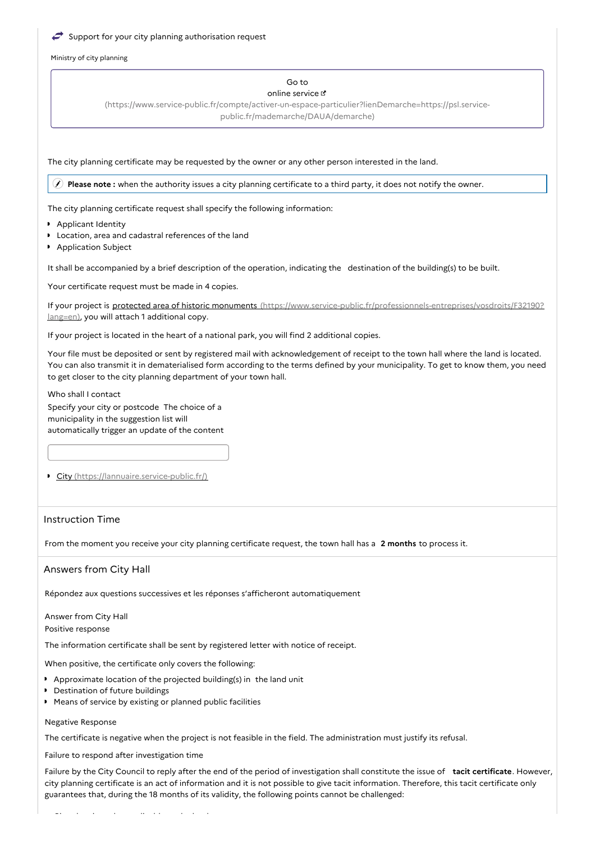#### Support for your city planning authorisation request

Ministry of city planning

#### Go to online service

[\(https://www.service-public.fr/compte/activer-un-espace-particulier?lienDemarche=https://psl.service](https://www.service-public.fr/compte/activer-un-espace-particulier?lienDemarche=https://psl.service-public.fr/mademarche/DAUA/demarche)public.fr/mademarche/DAUA/demarche)

The city planning certificate may be requested by the owner or any other person interested in the land.

**Please note :** when the authority issues a city planning certificate to a third party, it does not notify the owner.

The city planning certificate request shall specify the following information:

- **Applicant Identity**
- Location, area and cadastral references of the land
- **Application Subject**

It shall be accompanied by a brief description of the operation, indicating the destination of the building(s) to be built.

Your certificate request must be made in 4 copies.

If your project is protected area of historic monuments [\(https://www.service-public.fr/professionnels-entreprises/vosdroits/F32190?](https://www.service-public.fr/professionnels-entreprises/vosdroits/F32190?lang=en) lang=en), you will attach 1 additional copy.

If your project is located in the heart of a national park, you will find 2 additional copies.

Your file must be deposited or sent by registered mail with acknowledgement of receipt to the town hall where the land is located. You can also transmit it in dematerialised form according to the terms defined by your municipality. To get to know them, you need to get closer to the city planning department of your town hall.

Who shall I contact

Specify your city or postcode The choice of a municipality in the suggestion list will automatically trigger an update of the content

City [\(https://lannuaire.service-public.fr/\)](https://lannuaire.service-public.fr/)

# Instruction Time

From the moment you receive your city planning certificate request, the town hall has a **2 months** to process it.

## Answers from City Hall

Répondez aux questions successives et les réponses s'afficheront automatiquement

Answer from City Hall Positive response

The information certificate shall be sent by registered letter with notice of receipt.

When positive, the certificate only covers the following:

- Approximate location of the projected building(s) in the land unit
- Destination of future buildings
- Means of service by existing or planned public facilities

#### Negative Response

The certificate is negative when the project is not feasible in the field. The administration must justify its refusal.

Failure to respond after investigation time

Failure by the City Council to reply after the end of the period of investigation shall constitute the issue of **tacit certificate**. However, city planning certificate is an act of information and it is not possible to give tacit information. Therefore, this tacit certificate only guarantees that, during the 18 months of its validity, the following points cannot be challenged: